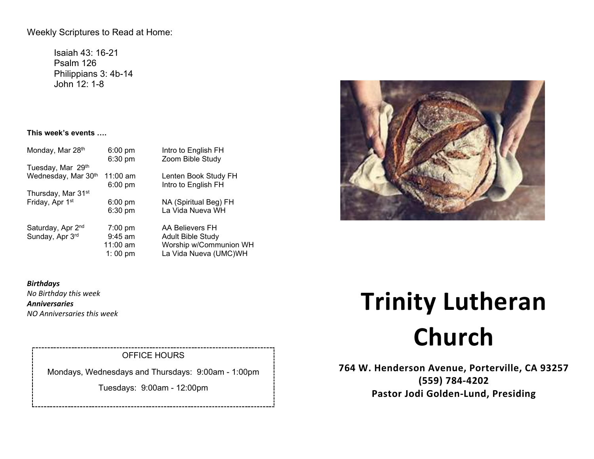Weekly Scriptures to Read at Home:

Isaiah 43: 16-21 Psalm 126 Philippians 3: 4b-14 John 12: 1-8

## **This week's events ….**

| Monday, Mar 28th               | $6:00 \text{ pm}$ | Intro to English FH<br>Zoom Bible Study |
|--------------------------------|-------------------|-----------------------------------------|
| Tuesday, Mar 29th              | $6:30$ pm         |                                         |
| Wednesday, Mar 30th            | $11:00$ am        | Lenten Book Study FH                    |
|                                | $6:00$ pm         | Intro to English FH                     |
| Thursday, Mar 31 <sup>st</sup> |                   |                                         |
| Friday, Apr 1st                | $6:00$ pm         | NA (Spiritual Beg) FH                   |
|                                | 6:30 pm           | La Vida Nueva WH                        |
| Saturday, Apr 2 <sup>nd</sup>  | $7:00 \text{ pm}$ | AA Believers FH                         |
| Sunday, Apr 3rd                | $9:45$ am         | <b>Adult Bible Study</b>                |
|                                | $11:00$ am        | Worship w/Communion WH                  |
|                                | 1:00 pm           | La Vida Nueva (UMC)WH                   |
|                                |                   |                                         |



# OFFICE HOURS

Mondays, Wednesdays and Thursdays: 9:00am - 1:00pm

Tuesdays: 9:00am - 12:00pm



# **Trinity Lutheran Church**

**764 W. Henderson Avenue, Porterville, CA 93257 (559) 784-4202 Pastor Jodi Golden-Lund, Presiding**